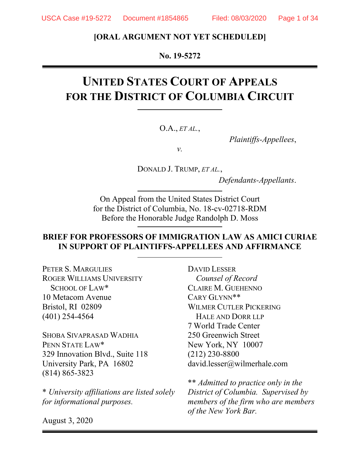#### **[ORAL ARGUMENT NOT YET SCHEDULED]**

#### **No. 19-5272**

# **UNITED STATES COURT OF APPEALS FOR THE DISTRICT OF COLUMBIA CIRCUIT**

O.A., *ET AL.*,

*Plaintiffs-Appellees*,

*v.*

DONALD J. TRUMP, *ET AL.*,

*Defendants-Appellants*.

On Appeal from the United States District Court for the District of Columbia, No. 18-cv-02718-RDM Before the Honorable Judge Randolph D. Moss

#### **BRIEF FOR PROFESSORS OF IMMIGRATION LAW AS AMICI CURIAE IN SUPPORT OF PLAINTIFFS-APPELLEES AND AFFIRMANCE**

PETER S. MARGULIES ROGER WILLIAMS UNIVERSITY SCHOOL OF LAW\* 10 Metacom Avenue Bristol, RI 02809 (401) 254-4564

SHOBA SIVAPRASAD WADHIA PENN STATE LAW\* 329 Innovation Blvd., Suite 118 University Park, PA 16802 (814) 865-3823

\* *University affiliations are listed solely for informational purposes.*

DAVID LESSER *Counsel of Record* CLAIRE M. GUEHENNO CARY GLYNN\*\* WILMER CUTLER PICKERING HALE AND DORR LLP 7 World Trade Center 250 Greenwich Street New York, NY 10007 (212) 230-8800 david.lesser@wilmerhale.com

\*\* *Admitted to practice only in the District of Columbia. Supervised by members of the firm who are members of the New York Bar.*

August 3, 2020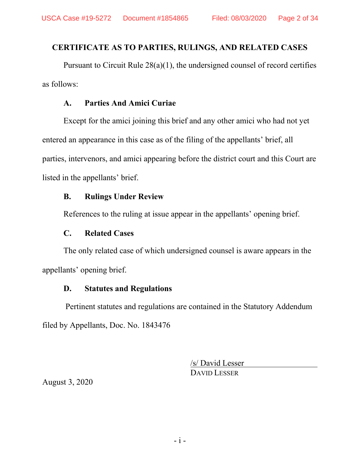## <span id="page-1-0"></span>**CERTIFICATE AS TO PARTIES, RULINGS, AND RELATED CASES**

Pursuant to Circuit Rule 28(a)(1), the undersigned counsel of record certifies as follows:

## **A. Parties And Amici Curiae**

Except for the amici joining this brief and any other amici who had not yet entered an appearance in this case as of the filing of the appellants' brief, all parties, intervenors, and amici appearing before the district court and this Court are listed in the appellants' brief.

## **B. Rulings Under Review**

References to the ruling at issue appear in the appellants' opening brief.

## **C. Related Cases**

The only related case of which undersigned counsel is aware appears in the appellants' opening brief.

## **D. Statutes and Regulations**

Pertinent statutes and regulations are contained in the Statutory Addendum filed by Appellants, Doc. No. 1843476

> /s/ David Lesser DAVID LESSER

August 3, 2020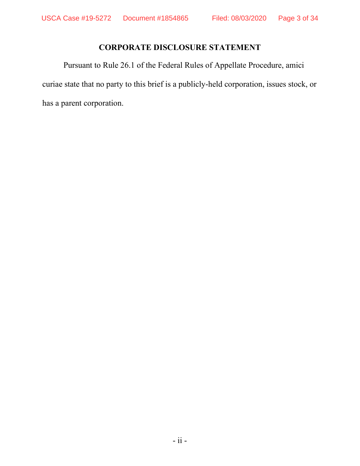## **CORPORATE DISCLOSURE STATEMENT**

<span id="page-2-0"></span>Pursuant to Rule 26.1 of the Federal Rules of Appellate Procedure, amici curiae state that no party to this brief is a publicly-held corporation, issues stock, or has a parent corporation.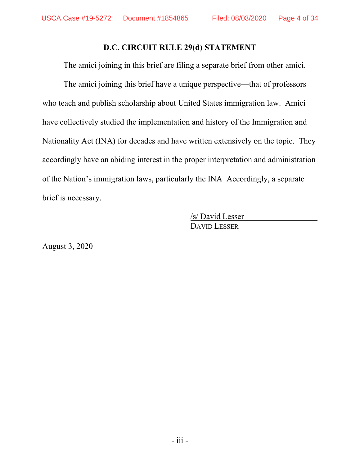#### **D.C. CIRCUIT RULE 29(d) STATEMENT**

The amici joining in this brief are filing a separate brief from other amici.

The amici joining this brief have a unique perspective—that of professors who teach and publish scholarship about United States immigration law. Amici have collectively studied the implementation and history of the Immigration and Nationality Act (INA) for decades and have written extensively on the topic. They accordingly have an abiding interest in the proper interpretation and administration of the Nation's immigration laws, particularly the INA Accordingly, a separate brief is necessary.

> /s/ David Lesser DAVID LESSER

August 3, 2020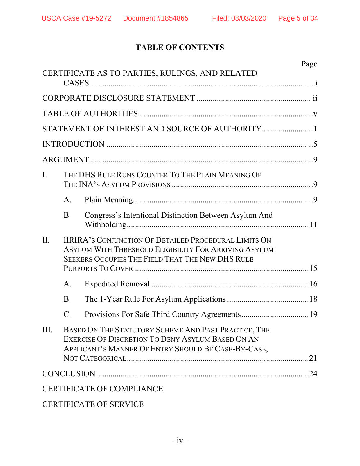## **TABLE OF CONTENTS**

|                |               | CERTIFICATE AS TO PARTIES, RULINGS, AND RELATED                                                                                                                           | Page |
|----------------|---------------|---------------------------------------------------------------------------------------------------------------------------------------------------------------------------|------|
|                |               |                                                                                                                                                                           |      |
|                |               |                                                                                                                                                                           |      |
|                |               |                                                                                                                                                                           |      |
|                |               |                                                                                                                                                                           |      |
|                |               |                                                                                                                                                                           |      |
| $\mathbf{I}$ . |               | THE DHS RULE RUNS COUNTER TO THE PLAIN MEANING OF                                                                                                                         |      |
|                | A.            |                                                                                                                                                                           |      |
|                | <b>B.</b>     | Congress's Intentional Distinction Between Asylum And                                                                                                                     |      |
| II.            |               | <b>IIRIRA'S CONJUNCTION OF DETAILED PROCEDURAL LIMITS ON</b><br>ASYLUM WITH THRESHOLD ELIGIBILITY FOR ARRIVING ASYLUM<br>SEEKERS OCCUPIES THE FIELD THAT THE NEW DHS RULE |      |
|                | $\mathsf{A}.$ |                                                                                                                                                                           |      |
|                | <b>B.</b>     |                                                                                                                                                                           |      |
|                | C.            |                                                                                                                                                                           |      |
| III.           |               | BASED ON THE STATUTORY SCHEME AND PAST PRACTICE, THE<br>EXERCISE OF DISCRETION TO DENY ASYLUM BASED ON AN<br>APPLICANT'S MANNER OF ENTRY SHOULD BE CASE-BY-CASE,          |      |
|                |               |                                                                                                                                                                           | .24  |
|                |               | <b>CERTIFICATE OF COMPLIANCE</b>                                                                                                                                          |      |

## CERTIFICATE OF SERVICE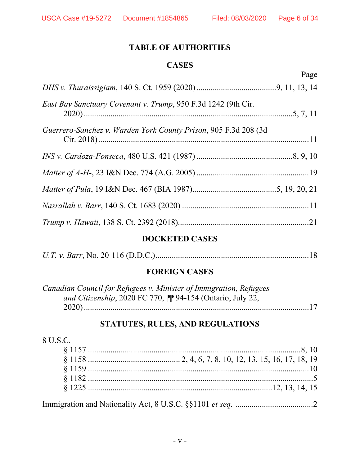### **TABLE OF AUTHORITIES**

#### **CASES**

<span id="page-5-0"></span>Page *DHS v. Thuraissigiam*, 140 S. Ct. 1959 (2020).......................................9, 11, 13, 14 *East Bay Sanctuary Covenant v. Trump*, 950 F.3d 1242 (9th Cir. 2020)......................................................................................................5, 7, 11 *Guerrero-Sanchez v. Warden York County Prison*, 905 F.3d 208 (3d Cir. 2018).......................................................................................................11 *INS v. Cardoza-Fonseca*, 480 U.S. 421 (1987)...............................................8, 9, 10 *Matter of A-H-*, 23 I&N Dec. 774 (A.G. 2005).......................................................19 *Matter of Pula*, 19 I&N Dec. 467 (BIA 1987).........................................5, 19, 20, 21 *Nasrallah v. Barr*, 140 S. Ct. 1683 (2020) ..............................................................11 *Trump v. Hawaii*, 138 S. Ct. 2392 (2018)................................................................21

### **DOCKETED CASES**

|--|--|--|--|--|--|--|--|--|

#### **FOREIGN CASES**

| Canadian Council for Refugees v. Minister of Immigration, Refugees   |
|----------------------------------------------------------------------|
| and Citizenship, 2020 FC 770, $\mathbb{P}$ 94-154 (Ontario, July 22, |
|                                                                      |

#### **STATUTES, RULES, AND REGULATIONS**

| 8 U.S.C. |                                                                                                                                                                                                                                                                                                                                    |  |
|----------|------------------------------------------------------------------------------------------------------------------------------------------------------------------------------------------------------------------------------------------------------------------------------------------------------------------------------------|--|
|          |                                                                                                                                                                                                                                                                                                                                    |  |
|          |                                                                                                                                                                                                                                                                                                                                    |  |
|          |                                                                                                                                                                                                                                                                                                                                    |  |
|          |                                                                                                                                                                                                                                                                                                                                    |  |
|          |                                                                                                                                                                                                                                                                                                                                    |  |
|          | $\mathbf{I}$ $\mathbf{I}$ $\mathbf{I}$ $\mathbf{I}$ $\mathbf{I}$ $\mathbf{I}$ $\mathbf{I}$ $\mathbf{I}$ $\mathbf{I}$ $\mathbf{I}$ $\mathbf{I}$ $\mathbf{I}$ $\mathbf{I}$ $\mathbf{I}$ $\mathbf{I}$ $\mathbf{I}$ $\mathbf{I}$ $\mathbf{I}$ $\mathbf{I}$ $\mathbf{I}$ $\mathbf{I}$ $\mathbf{I}$ $\mathbf{I}$ $\mathbf{I}$ $\mathbf{$ |  |

Immigration and Nationality Act, 8 U.S.C. §§1101 *et seq.* ......................................2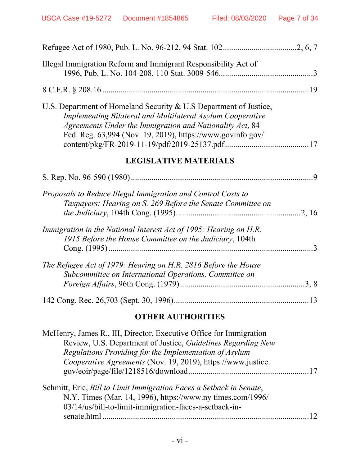| Illegal Immigration Reform and Immigrant Responsibility Act of                                                                                                                                                                                                   |  |
|------------------------------------------------------------------------------------------------------------------------------------------------------------------------------------------------------------------------------------------------------------------|--|
|                                                                                                                                                                                                                                                                  |  |
| U.S. Department of Homeland Security & U.S Department of Justice,<br><b>Implementing Bilateral and Multilateral Asylum Cooperative</b><br>Agreements Under the Immigration and Nationality Act, 84<br>Fed. Reg. 63,994 (Nov. 19, 2019), https://www.govinfo.gov/ |  |
| <b>LEGISLATIVE MATERIALS</b>                                                                                                                                                                                                                                     |  |
|                                                                                                                                                                                                                                                                  |  |
| Proposals to Reduce Illegal Immigration and Control Costs to<br>Taxpayers: Hearing on S. 269 Before the Senate Committee on                                                                                                                                      |  |
| Immigration in the National Interest Act of 1995: Hearing on H.R.<br>1915 Before the House Committee on the Judiciary, 104th                                                                                                                                     |  |
| The Refugee Act of 1979: Hearing on H.R. 2816 Before the House<br>Subcommittee on International Operations, Committee on                                                                                                                                         |  |
|                                                                                                                                                                                                                                                                  |  |

## **OTHER AUTHORITIES**

| McHenry, James R., III, Director, Executive Office for Immigration                                                                                                                          |  |
|---------------------------------------------------------------------------------------------------------------------------------------------------------------------------------------------|--|
| Review, U.S. Department of Justice, Guidelines Regarding New                                                                                                                                |  |
| Regulations Providing for the Implementation of Asylum                                                                                                                                      |  |
| Cooperative Agreements (Nov. 19, 2019), https://www.justice.                                                                                                                                |  |
|                                                                                                                                                                                             |  |
| Schmitt, Eric, Bill to Limit Immigration Faces a Setback in Senate,<br>N.Y. Times (Mar. 14, 1996), https://www.ny times.com/1996/<br>03/14/us/bill-to-limit-immigration-faces-a-setback-in- |  |
| senate.html                                                                                                                                                                                 |  |
|                                                                                                                                                                                             |  |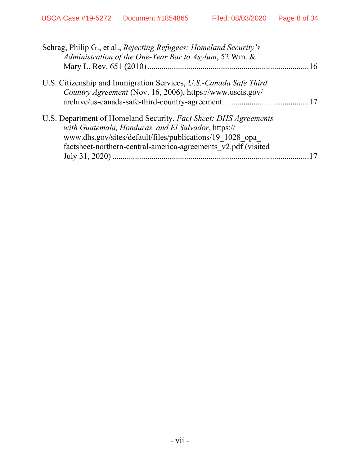| Schrag, Philip G., et al., Rejecting Refugees: Homeland Security's<br>Administration of the One-Year Bar to Asylum, 52 Wm. &                                                                                                                         | .16 |
|------------------------------------------------------------------------------------------------------------------------------------------------------------------------------------------------------------------------------------------------------|-----|
| U.S. Citizenship and Immigration Services, U.S.-Canada Safe Third<br>Country Agreement (Nov. 16, 2006), https://www.uscis.gov/                                                                                                                       |     |
| U.S. Department of Homeland Security, Fact Sheet: DHS Agreements<br>with Guatemala, Honduras, and El Salvador, https://<br>www.dhs.gov/sites/default/files/publications/19 1028 opa<br>factsheet-northern-central-america-agreements v2.pdf (visited |     |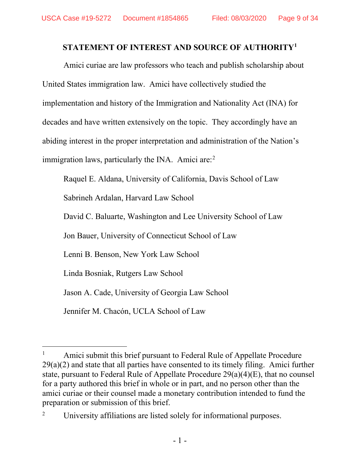## **STATEMENT OF INTEREST AND SOURCE OF AUTHORITY[1](#page-8-1)**

<span id="page-8-0"></span>Amici curiae are law professors who teach and publish scholarship about United States immigration law. Amici have collectively studied the implementation and history of the Immigration and Nationality Act (INA) for decades and have written extensively on the topic. They accordingly have an abiding interest in the proper interpretation and administration of the Nation's immigration laws, particularly the INA. Amici are:<sup>[2](#page-8-2)</sup>

Raquel E. Aldana, University of California, Davis School of Law

Sabrineh Ardalan, Harvard Law School

David C. Baluarte, Washington and Lee University School of Law

Jon Bauer, University of Connecticut School of Law

Lenni B. Benson, New York Law School

Linda Bosniak, Rutgers Law School

Jason A. Cade, University of Georgia Law School

Jennifer M. Chacón, UCLA School of Law

<span id="page-8-1"></span><sup>&</sup>lt;sup>1</sup> Amici submit this brief pursuant to Federal Rule of Appellate Procedure  $29(a)(2)$  and state that all parties have consented to its timely filing. Amici further state, pursuant to Federal Rule of Appellate Procedure 29(a)(4)(E), that no counsel for a party authored this brief in whole or in part, and no person other than the amici curiae or their counsel made a monetary contribution intended to fund the preparation or submission of this brief.

<span id="page-8-2"></span><sup>&</sup>lt;sup>2</sup> University affiliations are listed solely for informational purposes.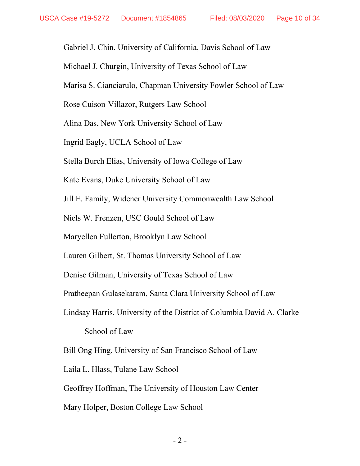Gabriel J. Chin, University of California, Davis School of Law

Michael J. Churgin, University of Texas School of Law

Marisa S. Cianciarulo, Chapman University Fowler School of Law

Rose Cuison-Villazor, Rutgers Law School

Alina Das, New York University School of Law

Ingrid Eagly, UCLA School of Law

Stella Burch Elias, University of Iowa College of Law

Kate Evans, Duke University School of Law

Jill E. Family, Widener University Commonwealth Law School

Niels W. Frenzen, USC Gould School of Law

Maryellen Fullerton, Brooklyn Law School

Lauren Gilbert, St. Thomas University School of Law

Denise Gilman, University of Texas School of Law

Pratheepan Gulasekaram, Santa Clara University School of Law

Lindsay Harris, University of the District of Columbia David A. Clarke

School of Law

Bill Ong Hing, University of San Francisco School of Law

Laila L. Hlass, Tulane Law School

Geoffrey Hoffman, The University of Houston Law Center

Mary Holper, Boston College Law School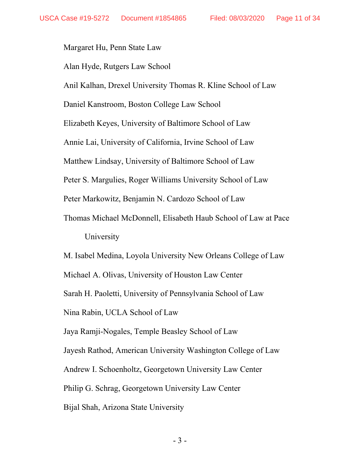Margaret Hu, Penn State Law

Alan Hyde, Rutgers Law School

Anil Kalhan, Drexel University Thomas R. Kline School of Law

Daniel Kanstroom, Boston College Law School

Elizabeth Keyes, University of Baltimore School of Law

Annie Lai, University of California, Irvine School of Law

Matthew Lindsay, University of Baltimore School of Law

Peter S. Margulies, Roger Williams University School of Law

Peter Markowitz, Benjamin N. Cardozo School of Law

Thomas Michael McDonnell, Elisabeth Haub School of Law at Pace University

M. Isabel Medina, Loyola University New Orleans College of Law

Michael A. Olivas, University of Houston Law Center

Sarah H. Paoletti, University of Pennsylvania School of Law

Nina Rabin, UCLA School of Law

Jaya Ramji-Nogales, Temple Beasley School of Law

Jayesh Rathod, American University Washington College of Law

Andrew I. Schoenholtz, Georgetown University Law Center

Philip G. Schrag, Georgetown University Law Center

Bijal Shah, Arizona State University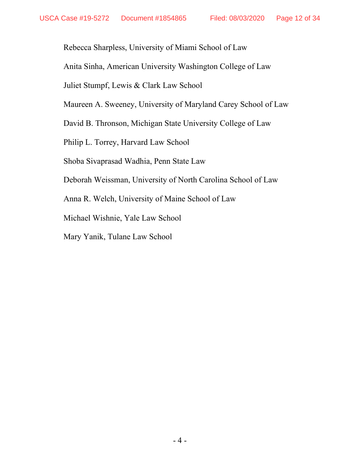Rebecca Sharpless, University of Miami School of Law

Anita Sinha, American University Washington College of Law

Juliet Stumpf, Lewis & Clark Law School

Maureen A. Sweeney, University of Maryland Carey School of Law

David B. Thronson, Michigan State University College of Law

Philip L. Torrey, Harvard Law School

Shoba Sivaprasad Wadhia, Penn State Law

Deborah Weissman, University of North Carolina School of Law

Anna R. Welch, University of Maine School of Law

Michael Wishnie, Yale Law School

Mary Yanik, Tulane Law School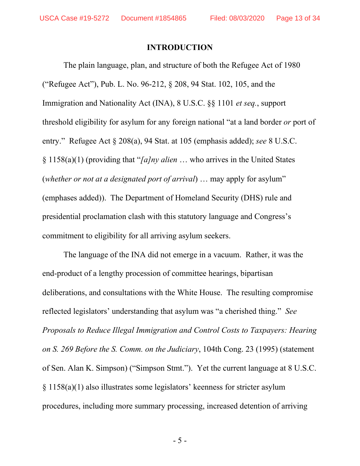#### **INTRODUCTION**

<span id="page-12-0"></span>The plain language, plan, and structure of both the Refugee Act of 1980 ("Refugee Act"), Pub. L. No. 96-212, § 208, 94 Stat. 102, 105, and the Immigration and Nationality Act (INA), 8 U.S.C. §§ 1101 *et seq.*, support threshold eligibility for asylum for any foreign national "at a land border *or* port of entry." Refugee Act § 208(a), 94 Stat. at 105 (emphasis added); *see* 8 U.S.C. § 1158(a)(1) (providing that "*[a]ny alien* … who arrives in the United States (*whether or not at a designated port of arrival*) … may apply for asylum" (emphases added)). The Department of Homeland Security (DHS) rule and presidential proclamation clash with this statutory language and Congress's commitment to eligibility for all arriving asylum seekers.

The language of the INA did not emerge in a vacuum. Rather, it was the end-product of a lengthy procession of committee hearings, bipartisan deliberations, and consultations with the White House. The resulting compromise reflected legislators' understanding that asylum was "a cherished thing." *See Proposals to Reduce Illegal Immigration and Control Costs to Taxpayers: Hearing on S. 269 Before the S. Comm. on the Judiciary*, 104th Cong. 23 (1995) (statement of Sen. Alan K. Simpson) ("Simpson Stmt."). Yet the current language at 8 U.S.C. § 1158(a)(1) also illustrates some legislators' keenness for stricter asylum procedures, including more summary processing, increased detention of arriving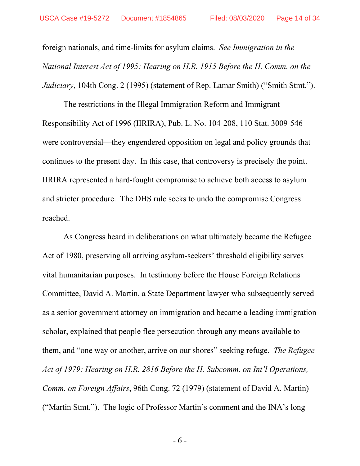foreign nationals, and time-limits for asylum claims. *See Immigration in the National Interest Act of 1995: Hearing on H.R. 1915 Before the H. Comm. on the Judiciary*, 104th Cong. 2 (1995) (statement of Rep. Lamar Smith) ("Smith Stmt.").

The restrictions in the Illegal Immigration Reform and Immigrant Responsibility Act of 1996 (IIRIRA), Pub. L. No. 104-208, 110 Stat. 3009-546 were controversial—they engendered opposition on legal and policy grounds that continues to the present day. In this case, that controversy is precisely the point. IIRIRA represented a hard-fought compromise to achieve both access to asylum and stricter procedure. The DHS rule seeks to undo the compromise Congress reached.

As Congress heard in deliberations on what ultimately became the Refugee Act of 1980, preserving all arriving asylum-seekers' threshold eligibility serves vital humanitarian purposes. In testimony before the House Foreign Relations Committee, David A. Martin, a State Department lawyer who subsequently served as a senior government attorney on immigration and became a leading immigration scholar, explained that people flee persecution through any means available to them, and "one way or another, arrive on our shores" seeking refuge. *The Refugee Act of 1979: Hearing on H.R. 2816 Before the H. Subcomm. on Int'l Operations, Comm. on Foreign Affairs*, 96th Cong. 72 (1979) (statement of David A. Martin) ("Martin Stmt."). The logic of Professor Martin's comment and the INA's long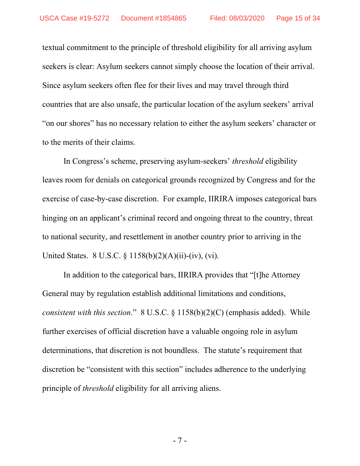textual commitment to the principle of threshold eligibility for all arriving asylum seekers is clear: Asylum seekers cannot simply choose the location of their arrival. Since asylum seekers often flee for their lives and may travel through third countries that are also unsafe, the particular location of the asylum seekers' arrival "on our shores" has no necessary relation to either the asylum seekers' character or to the merits of their claims.

In Congress's scheme, preserving asylum-seekers' *threshold* eligibility leaves room for denials on categorical grounds recognized by Congress and for the exercise of case-by-case discretion. For example, IIRIRA imposes categorical bars hinging on an applicant's criminal record and ongoing threat to the country, threat to national security, and resettlement in another country prior to arriving in the United States. 8 U.S.C. § 1158(b)(2)(A)(ii)-(iv), (vi).

In addition to the categorical bars, IIRIRA provides that "[t]he Attorney General may by regulation establish additional limitations and conditions, *consistent with this section*." 8 U.S.C. § 1158(b)(2)(C) (emphasis added). While further exercises of official discretion have a valuable ongoing role in asylum determinations, that discretion is not boundless. The statute's requirement that discretion be "consistent with this section" includes adherence to the underlying principle of *threshold* eligibility for all arriving aliens.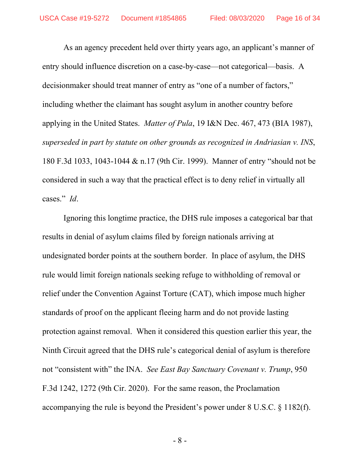As an agency precedent held over thirty years ago, an applicant's manner of entry should influence discretion on a case-by-case—not categorical—basis. A decisionmaker should treat manner of entry as "one of a number of factors," including whether the claimant has sought asylum in another country before applying in the United States. *Matter of Pula*, 19 I&N Dec. 467, 473 (BIA 1987), *superseded in part by statute on other grounds as recognized in Andriasian v. INS*, 180 F.3d 1033, 1043-1044 & n.17 (9th Cir. 1999). Manner of entry "should not be considered in such a way that the practical effect is to deny relief in virtually all cases." *Id*.

Ignoring this longtime practice, the DHS rule imposes a categorical bar that results in denial of asylum claims filed by foreign nationals arriving at undesignated border points at the southern border. In place of asylum, the DHS rule would limit foreign nationals seeking refuge to withholding of removal or relief under the Convention Against Torture (CAT), which impose much higher standards of proof on the applicant fleeing harm and do not provide lasting protection against removal. When it considered this question earlier this year, the Ninth Circuit agreed that the DHS rule's categorical denial of asylum is therefore not "consistent with" the INA. *See East Bay Sanctuary Covenant v. Trump*, 950 F.3d 1242, 1272 (9th Cir. 2020). For the same reason, the Proclamation accompanying the rule is beyond the President's power under 8 U.S.C. § 1182(f).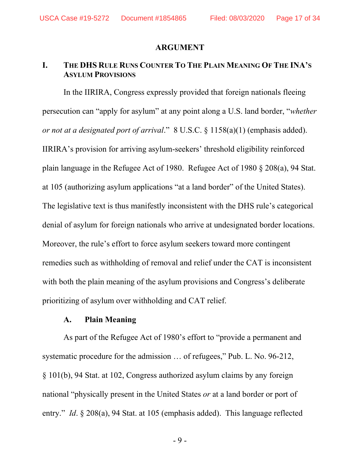#### **ARGUMENT**

#### <span id="page-16-1"></span><span id="page-16-0"></span>**I. THE DHS RULE RUNS COUNTER TO THE PLAIN MEANING OF THE INA'S ASYLUM PROVISIONS**

In the IIRIRA, Congress expressly provided that foreign nationals fleeing persecution can "apply for asylum" at any point along a U.S. land border, "*whether or not at a designated port of arrival*." 8 U.S.C. § 1158(a)(1) (emphasis added). IIRIRA's provision for arriving asylum-seekers' threshold eligibility reinforced plain language in the Refugee Act of 1980. Refugee Act of 1980 § 208(a), 94 Stat. at 105 (authorizing asylum applications "at a land border" of the United States). The legislative text is thus manifestly inconsistent with the DHS rule's categorical denial of asylum for foreign nationals who arrive at undesignated border locations. Moreover, the rule's effort to force asylum seekers toward more contingent remedies such as withholding of removal and relief under the CAT is inconsistent with both the plain meaning of the asylum provisions and Congress's deliberate prioritizing of asylum over withholding and CAT relief.

#### **A. Plain Meaning**

<span id="page-16-2"></span>As part of the Refugee Act of 1980's effort to "provide a permanent and systematic procedure for the admission … of refugees," Pub. L. No. 96-212, § 101(b), 94 Stat. at 102, Congress authorized asylum claims by any foreign national "physically present in the United States *or* at a land border or port of entry." *Id*. § 208(a), 94 Stat. at 105 (emphasis added). This language reflected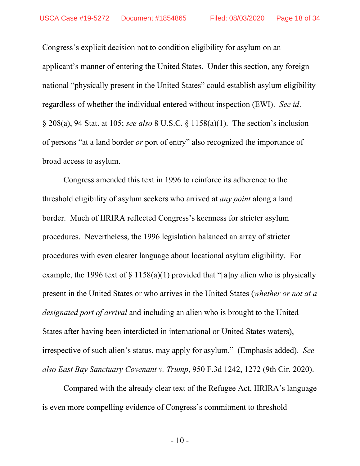Congress's explicit decision not to condition eligibility for asylum on an applicant's manner of entering the United States. Under this section, any foreign national "physically present in the United States" could establish asylum eligibility regardless of whether the individual entered without inspection (EWI). *See id*. § 208(a), 94 Stat. at 105; *see also* 8 U.S.C. § 1158(a)(1). The section's inclusion of persons "at a land border *or* port of entry" also recognized the importance of broad access to asylum.

Congress amended this text in 1996 to reinforce its adherence to the threshold eligibility of asylum seekers who arrived at *any point* along a land border. Much of IIRIRA reflected Congress's keenness for stricter asylum procedures. Nevertheless, the 1996 legislation balanced an array of stricter procedures with even clearer language about locational asylum eligibility. For example, the 1996 text of  $\S 1158(a)(1)$  provided that "[a]ny alien who is physically present in the United States or who arrives in the United States (*whether or not at a designated port of arrival* and including an alien who is brought to the United States after having been interdicted in international or United States waters), irrespective of such alien's status, may apply for asylum." (Emphasis added). *See also East Bay Sanctuary Covenant v. Trump*, 950 F.3d 1242, 1272 (9th Cir. 2020).

Compared with the already clear text of the Refugee Act, IIRIRA's language is even more compelling evidence of Congress's commitment to threshold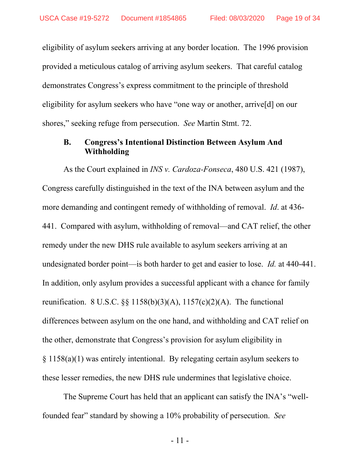eligibility of asylum seekers arriving at any border location. The 1996 provision provided a meticulous catalog of arriving asylum seekers. That careful catalog demonstrates Congress's express commitment to the principle of threshold eligibility for asylum seekers who have "one way or another, arrive[d] on our shores," seeking refuge from persecution. *See* Martin Stmt. 72.

#### <span id="page-18-0"></span>**B. Congress's Intentional Distinction Between Asylum And Withholding**

As the Court explained in *[INS v. Cardoza-Fonseca](https://supreme.justia.com/cases/federal/us/480/421/)*, 480 U.S. 421 (1987), Congress carefully distinguished in the text of the INA between asylum and the more demanding and contingent remedy of withholding of removal. *Id*. at 436- 441. Compared with asylum, withholding of removal—and CAT relief, the other remedy under the new DHS rule available to asylum seekers arriving at an undesignated border point—is both harder to get and easier to lose. *Id.* at 440-441. In addition, only asylum provides a successful applicant with a chance for family reunification. 8 U.S.C.  $\S$  1158(b)(3)(A), 1157(c)(2)(A). The functional differences between asylum on the one hand, and withholding and CAT relief on the other, demonstrate that Congress's provision for asylum eligibility in § 1158(a)(1) was entirely intentional. By relegating certain asylum seekers to these lesser remedies, the new DHS rule undermines that legislative choice.

The Supreme Court has held that an applicant can satisfy the INA's "wellfounded fear" standard by showing a 10% probability of persecution. *See*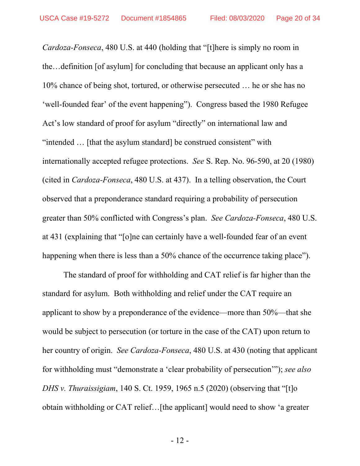*Cardoza-Fonseca*, 480 U.S. at 440 (holding that "[t]here is simply no room in the…definition [of asylum] for concluding that because an applicant only has a 10% chance of being shot, tortured, or otherwise persecuted … he or she has no 'well-founded fear' of the event happening"). Congress based the 1980 Refugee Act's low standard of proof for asylum "directly" on international law and "intended … [that the asylum standard] be construed consistent" with internationally accepted refugee protections. *See* S. Rep. No. 96-590, at 20 (1980) (cited in *Cardoza-Fonseca*, 480 U.S. at 437). In a telling observation, the Court observed that a preponderance standard requiring a probability of persecution greater than 50% conflicted with Congress's plan. *See Cardoza-Fonseca*, 480 U.S. at 431 (explaining that "[o]ne can certainly have a well-founded fear of an event happening when there is less than a 50% chance of the occurrence taking place").

The standard of proof for withholding and CAT relief is far higher than the standard for asylum. Both withholding and relief under the CAT require an applicant to show by a preponderance of the evidence—more than 50%—that she would be subject to persecution (or torture in the case of the CAT) upon return to her country of origin. *See Cardoza-Fonseca*, 480 U.S. at 430 (noting that applicant for withholding must "demonstrate a 'clear probability of persecution'"); *see also DHS v. Thuraissigiam*, 140 S. Ct. 1959, 1965 n.5 (2020) (observing that "[t]o obtain withholding or CAT relief…[the applicant] would need to show 'a greater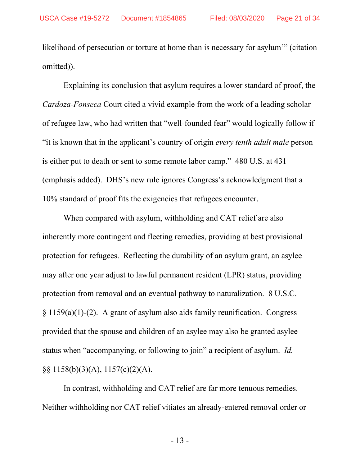likelihood of persecution or torture at home than is necessary for asylum'" (citation omitted)).

Explaining its conclusion that asylum requires a lower standard of proof, the *Cardoza-Fonseca* Court cited a vivid example from the work of a leading scholar of refugee law, who had written that "well-founded fear" would logically follow if "it is known that in the applicant's country of origin *every tenth adult male* person is either put to death or sent to some remote labor camp." 480 U.S. at 431 (emphasis added). DHS's new rule ignores Congress's acknowledgment that a 10% standard of proof fits the exigencies that refugees encounter.

When compared with asylum, withholding and CAT relief are also inherently more contingent and fleeting remedies, providing at best provisional protection for refugees. Reflecting the durability of an asylum grant, an asylee may after one year adjust to lawful permanent resident (LPR) status, providing protection from removal and an eventual pathway to naturalization. 8 U.S.C. § 1159(a)(1)-(2). A grant of asylum also aids family reunification. Congress provided that the spouse and children of an asylee may also be granted asylee status when "accompanying, or following to join" a recipient of asylum. *Id.* §§ 1158(b)(3)(A), 1157(c)(2)(A).

In contrast, withholding and CAT relief are far more tenuous remedies. Neither withholding nor CAT relief vitiates an already-entered removal order or

- 13 -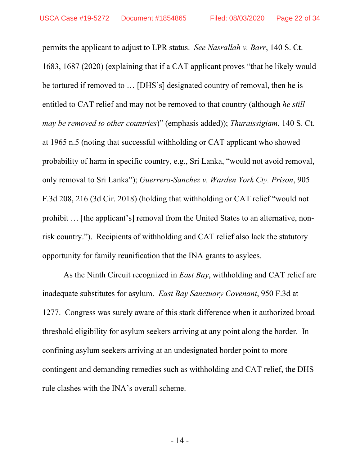permits the applicant to adjust to LPR status. *See Nasrallah v. Barr*, 140 S. Ct. 1683, 1687 (2020) (explaining that if a CAT applicant proves "that he likely would be tortured if removed to … [DHS's] designated country of removal, then he is entitled to CAT relief and may not be removed to that country (although *he still may be removed to other countries*)" (emphasis added)); *Thuraissigiam*, 140 S. Ct. at 1965 n.5 (noting that successful withholding or CAT applicant who showed probability of harm in specific country, e.g., Sri Lanka, "would not avoid removal, only removal to Sri Lanka"); *Guerrero-Sanchez v. Warden York Cty. Prison*, 905 F.3d 208, 216 (3d Cir. 2018) (holding that withholding or CAT relief "would not prohibit … [the applicant's] removal from the United States to an alternative, nonrisk country."). Recipients of withholding and CAT relief also lack the statutory opportunity for family reunification that the INA grants to asylees.

As the Ninth Circuit recognized in *East Bay*, withholding and CAT relief are inadequate substitutes for asylum. *East Bay Sanctuary Covenant*, 950 F.3d at 1277. Congress was surely aware of this stark difference when it authorized broad threshold eligibility for asylum seekers arriving at any point along the border. In confining asylum seekers arriving at an undesignated border point to more contingent and demanding remedies such as withholding and CAT relief, the DHS rule clashes with the INA's overall scheme.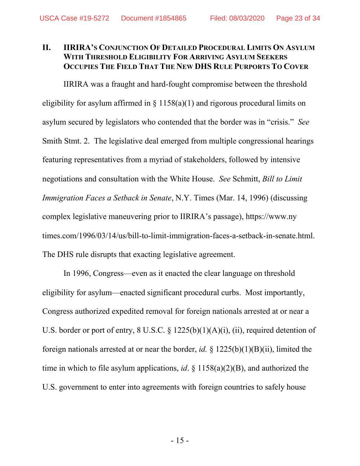#### <span id="page-22-0"></span>**II. IIRIRA'S CONJUNCTION OF DETAILED PROCEDURAL LIMITS ON ASYLUM WITH THRESHOLD ELIGIBILITY FOR ARRIVING ASYLUM SEEKERS OCCUPIES THE FIELD THAT THE NEW DHS RULE PURPORTS TO COVER**

IIRIRA was a fraught and hard-fought compromise between the threshold eligibility for asylum affirmed in  $\S 1158(a)(1)$  and rigorous procedural limits on asylum secured by legislators who contended that the border was in "crisis." *See*  Smith Stmt. 2. The legislative deal emerged from multiple congressional hearings featuring representatives from a myriad of stakeholders, followed by intensive negotiations and consultation with the White House. *See* Schmitt, *Bill to Limit Immigration Faces a Setback in Senate*, N.Y. Times (Mar. 14, 1996) (discussing complex legislative maneuvering prior to IIRIRA's passage), https://www.ny times.com/1996/03/14/us/bill-to-limit-immigration-faces-a-setback-in-senate.html. The DHS rule disrupts that exacting legislative agreement.

In 1996, Congress—even as it enacted the clear language on threshold eligibility for asylum—enacted significant procedural curbs. Most importantly, Congress authorized expedited removal for foreign nationals arrested at or near a U.S. border or port of entry, 8 U.S.C. § 1225(b)(1)(A)(i), (ii), required detention of foreign nationals arrested at or near the border, *id.* § 1225(b)(1)(B)(ii), limited the time in which to file asylum applications, *id*. § 1158(a)(2)(B), and authorized the U.S. government to enter into agreements with foreign countries to safely house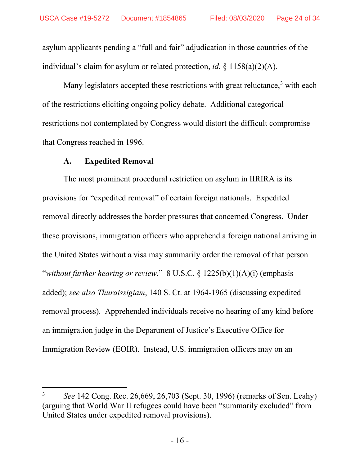asylum applicants pending a "full and fair" adjudication in those countries of the individual's claim for asylum or related protection, *id.* § 1158(a)(2)(A).

Many legislators accepted these restrictions with great reluctance,<sup>[3](#page-23-1)</sup> with each of the restrictions eliciting ongoing policy debate. Additional categorical restrictions not contemplated by Congress would distort the difficult compromise that Congress reached in 1996.

#### **A. Expedited Removal**

<span id="page-23-0"></span>The most prominent procedural restriction on asylum in IIRIRA is its provisions for "expedited removal" of certain foreign nationals. Expedited removal directly addresses the border pressures that concerned Congress. Under these provisions, immigration officers who apprehend a foreign national arriving in the United States without a visa may summarily order the removal of that person "*without further hearing or review*." 8 U.S.C*.* § 1225(b)(1)(A)(i) (emphasis added); *see also Thuraissigiam*, 140 S. Ct. at 1964-1965 (discussing expedited removal process). Apprehended individuals receive no hearing of any kind before an immigration judge in the Department of Justice's Executive Office for Immigration Review (EOIR). Instead, U.S. immigration officers may on an

<span id="page-23-1"></span><sup>3</sup> *See* 142 Cong. Rec. 26,669, 26,703 (Sept. 30, 1996) (remarks of Sen. Leahy) (arguing that World War II refugees could have been "summarily excluded" from United States under expedited removal provisions).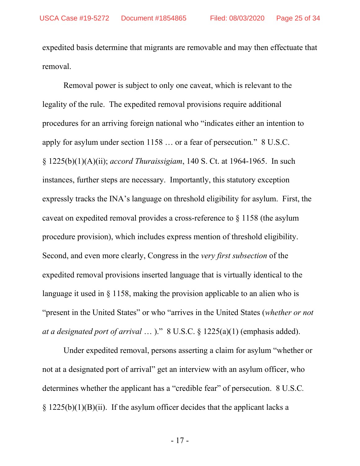expedited basis determine that migrants are removable and may then effectuate that removal.

Removal power is subject to only one caveat, which is relevant to the legality of the rule. The expedited removal provisions require additional procedures for an arriving foreign national who "indicates either an intention to apply for asylum under section 1158 … or a fear of persecution*.*" 8 U.S.C. § 1225(b)(1)(A)(ii); *accord Thuraissigiam*, 140 S. Ct. at 1964-1965. In such instances, further steps are necessary. Importantly, this statutory exception expressly tracks the INA's language on threshold eligibility for asylum. First, the caveat on expedited removal provides a cross-reference to § 1158 (the asylum procedure provision), which includes express mention of threshold eligibility. Second, and even more clearly, Congress in the *very first subsection* of the expedited removal provisions inserted language that is virtually identical to the language it used in § 1158, making the provision applicable to an alien who is "present in the United States" or who "arrives in the United States (*whether or not at a designated port of arrival* … )." 8 U.S.C. § 1225(a)(1) (emphasis added).

Under expedited removal, persons asserting a claim for asylum "whether or not at a designated port of arrival" get an interview with an asylum officer, who determines whether the applicant has a "credible fear" of persecution. 8 U.S.C*.*  $\S$  1225(b)(1)(B)(ii). If the asylum officer decides that the applicant lacks a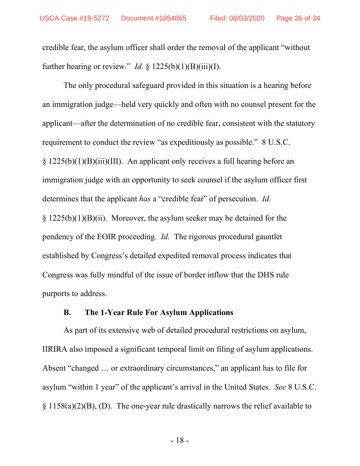credible fear, the asylum officer shall order the removal of the applicant "without further hearing or review." *Id.* §  $1225(b)(1)(B)(iii)(I)$ .

The only procedural safeguard provided in this situation is a hearing before an immigration judge—held very quickly and often with no counsel present for the applicant—after the determination of no credible fear, consistent with the statutory requirement to conduct the review "as expeditiously as possible." 8 U.S.C. § 1225(b)(1)(B)(iii)(III). An applicant only receives a full hearing before an immigration judge with an opportunity to seek counsel if the asylum officer first determines that the applicant *has* a "credible fear" of persecution. *Id.* § 1225(b)(1)(B)(ii). Moreover, the asylum seeker may be detained for the pendency of the EOIR proceeding. *Id.* The rigorous procedural gauntlet established by Congress's detailed expedited removal process indicates that Congress was fully mindful of the issue of border inflow that the DHS rule purports to address.

#### **B. The 1-Year Rule For Asylum Applications**

<span id="page-25-0"></span>As part of its extensive web of detailed procedural restrictions on asylum, IIRIRA also imposed a significant temporal limit on filing of asylum applications. Absent "changed … or extraordinary circumstances," an applicant has to file for asylum "within 1 year" of the applicant's arrival in the United States. *See* 8 U.S.C. § 1158(a)(2)(B), (D). The one-year rule [drastically narrows the relief](https://scholarship.law.georgetown.edu/cgi/viewcontent.cgi?article=2915&context=facpub) available to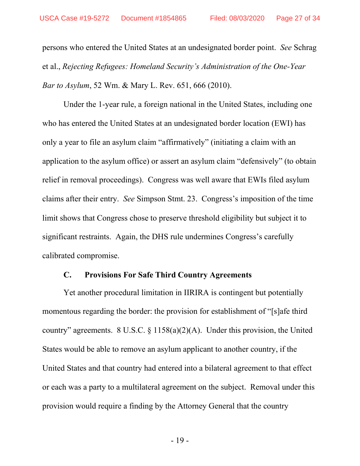persons who entered the United States at an undesignated border point. *See* Schrag et al., *Rejecting Refugees: Homeland Security's Administration of the One-Year Bar to Asylum*, 52 Wm. & Mary L. Rev. 651, 666 (2010).

Under the 1-year rule, a foreign national in the United States, including one who has entered the United States at an undesignated border location (EWI) has only a year to file an asylum claim "affirmatively" (initiating a claim with an application to the asylum office) or assert an asylum claim "defensively" (to obtain relief in removal proceedings). Congress was well aware that EWIs filed asylum claims after their entry. *See* Simpson Stmt. 23. Congress's imposition of the time limit shows that Congress chose to preserve threshold eligibility but subject it to significant restraints. Again, the DHS rule undermines Congress's carefully calibrated compromise.

#### **C. Provisions For Safe Third Country Agreements**

<span id="page-26-0"></span>Yet another procedural limitation in IIRIRA is contingent but potentially momentous regarding the border: the provision for establishment of "[s]afe third country" agreements. 8 U.S.C. § 1158(a)(2)(A). Under this provision, the United States would be able to remove an asylum applicant to another country, if the United States and that country had entered into a bilateral agreement to that effect or each was a party to a multilateral agreement on the subject. Removal under this provision would require a finding by the Attorney General that the country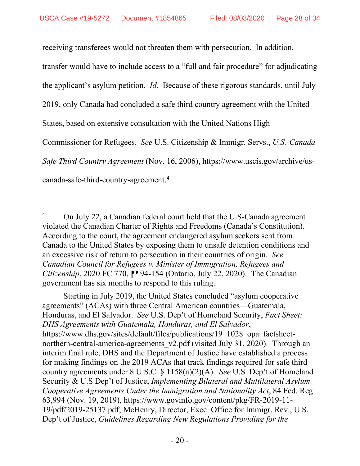receiving transferees would not threaten them with persecution. In addition,

transfer would have to include access to a "full and fair procedure" for adjudicating

the applicant's asylum petition. *Id.* Because of these rigorous standards, until July

2019, only Canada had concluded a safe third country agreement with the United

States, based on extensive consultation with the United Nations High

Commissioner for Refugees. *See* U.S. Citizenship & Immigr. Servs., *U.S.-Canada* 

*Safe Third Country Agreement* (Nov. 16, 2006), https://www.uscis.gov/archive/us-

canada-safe-third-country-agreement. [4](#page-27-0)

Starting in July 2019, the United States concluded "asylum cooperative agreements" (ACAs) with three Central American countries—Guatemala, Honduras, and El Salvador. *See* U.S. Dep't of Homeland Security, *Fact Sheet: DHS Agreements with Guatemala, Honduras, and El Salvador*, https://www.dhs.gov/sites/default/files/publications/19\_1028\_opa\_factsheetnorthern-central-america-agreements v2.pdf (visited July 31, 2020). Through an interim final rule, DHS and the Department of Justice have established a process for making findings on the 2019 ACAs that track findings required for safe third country agreements under 8 U.S.C. § 1158(a)(2)(A). *See* U.S. Dep't of Homeland Security & U.S Dep't of Justice, *Implementing Bilateral and Multilateral Asylum Cooperative Agreements Under the Immigration and Nationality Act*, 84 Fed. Reg. 63,994 (Nov. 19, 2019), https://www.govinfo.gov/content/pkg/FR-2019-11- 19/pdf/2019-25137.pdf; McHenry, Director, Exec. Office for Immigr. Rev., U.S. Dep't of Justice, *Guidelines Regarding New Regulations Providing for the* 

<span id="page-27-0"></span><sup>&</sup>lt;sup>4</sup> On July 22, a Canadian federal court held that the U.S-Canada agreement violated the Canadian Charter of Rights and Freedoms (Canada's Constitution). According to the court, the agreement endangered asylum seekers sent from Canada to the United States by exposing them to unsafe detention conditions and an excessive risk of return to persecution in their countries of origin. *See Canadian Council for Refugees v. Minister of Immigration, Refugees and Citizenship*, 2020 FC 770, PP 94-154 (Ontario, July 22, 2020). The Canadian government has six months to respond to this ruling.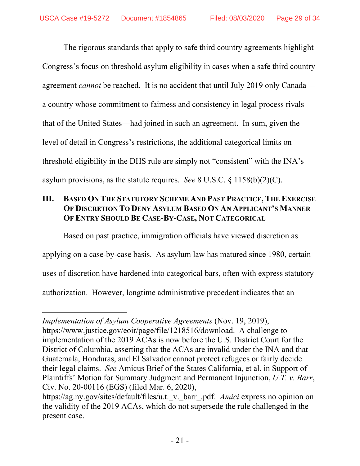The rigorous standards that apply to safe third country agreements highlight Congress's focus on threshold asylum eligibility in cases when a safe third country agreement *cannot* be reached. It is no accident that until July 2019 only Canada a country whose commitment to fairness and consistency in legal process rivals that of the United States—had joined in such an agreement. In sum, given the level of detail in Congress's restrictions, the additional categorical limits on threshold eligibility in the DHS rule are simply not "consistent" with the INA's asylum provisions, as the statute requires. *See* 8 U.S.C. § 1158(b)(2)(C).

### <span id="page-28-0"></span>**III. BASED ON THE STATUTORY SCHEME AND PAST PRACTICE, THE EXERCISE OF DISCRETION TO DENY ASYLUM BASED ON AN APPLICANT'S MANNER OF ENTRY SHOULD BE CASE-BY-CASE, NOT CATEGORICAL**

Based on past practice, immigration officials have viewed discretion as applying on a case-by-case basis. As asylum law has matured since 1980, certain uses of discretion have hardened into categorical bars, often with express statutory authorization. However, longtime administrative precedent indicates that an

*Implementation of Asylum Cooperative Agreements* (Nov. 19, 2019), https://www.justice.gov/eoir/page/file/1218516/download. A challenge to implementation of the 2019 ACAs is now before the U.S. District Court for the District of Columbia, asserting that the ACAs are invalid under the INA and that Guatemala, Honduras, and El Salvador cannot protect refugees or fairly decide their legal claims. *See* Amicus Brief of the States California, et al. in Support of Plaintiffs' Motion for Summary Judgment and Permanent Injunction, *U.T. v. Barr*, Civ. No. 20-00116 (EGS) (filed Mar. 6, 2020),

https://ag.ny.gov/sites/default/files/u.t.\_v.\_barr\_.pdf. *Amici* express no opinion on the validity of the 2019 ACAs, which do not supersede the rule challenged in the present case.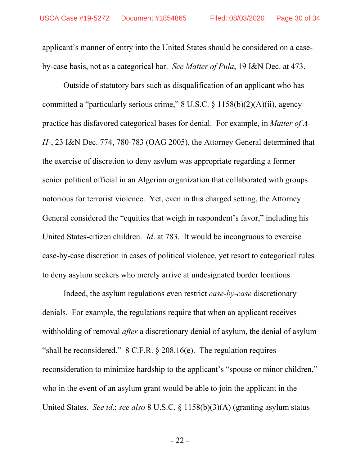applicant's manner of entry into the United States should be considered on a caseby-case basis, not as a categorical bar. *See Matter of Pula*, 19 I&N Dec. at 473.

Outside of statutory bars such as disqualification of an applicant who has committed a "particularly serious crime,"  $8 \text{ U.S.C.} \$   $1158(b)(2)(A)(ii)$ , agency practice has disfavored categorical bases for denial. For example, in *Matter of A-H-*, 23 I&N Dec. 774, 780-783 (OAG 2005), the Attorney General determined that the exercise of discretion to deny asylum was appropriate regarding a former senior political official in an Algerian organization that collaborated with groups notorious for terrorist violence. Yet, even in this charged setting, the Attorney General considered the "equities that weigh in respondent's favor," including his United States-citizen children. *Id*. at 783. It would be incongruous to exercise case-by-case discretion in cases of political violence, yet resort to categorical rules to deny asylum seekers who merely arrive at undesignated border locations.

Indeed, the asylum regulations even restrict *case-by-case* discretionary denials. For example, the regulations require that when an applicant receives withholding of removal *after* a discretionary denial of asylum, the denial of asylum "shall be reconsidered."  $8$  C.F.R.  $\S$  208.16(e). The regulation requires reconsideration to minimize hardship to the applicant's "spouse or minor children," who in the event of an asylum grant would be able to join the applicant in the United States. *See id*.; *see also* 8 U.S.C. § 1158(b)(3)(A) (granting asylum status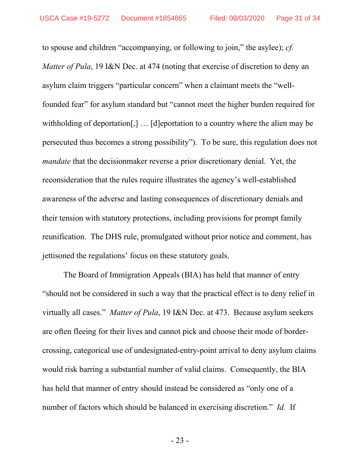to spouse and children "accompanying, or following to join," the asylee); *cf. Matter of Pula*, 19 I&N Dec. at 474 (noting that exercise of discretion to deny an asylum claim triggers "particular concern" when a claimant meets the "wellfounded fear" for asylum standard but "cannot meet the higher burden required for withholding of deportation[,] ... [d]eportation to a country where the alien may be persecuted thus becomes a strong possibility"). To be sure, this regulation does not *mandate* that the decisionmaker reverse a prior discretionary denial. Yet, the reconsideration that the rules require illustrates the agency's well-established awareness of the adverse and lasting consequences of discretionary denials and their tension with statutory protections, including provisions for prompt family reunification. The DHS rule, promulgated without prior notice and comment, has jettisoned the regulations' focus on these statutory goals.

The Board of Immigration Appeals (BIA) has held that manner of entry "should not be considered in such a way that the practical effect is to deny relief in virtually all cases." *Matter of Pula*, 19 I&N Dec. at 473. Because asylum seekers are often fleeing for their lives and cannot pick and choose their mode of bordercrossing, categorical use of undesignated-entry-point arrival to deny asylum claims would risk barring a substantial number of valid claims. Consequently, the BIA has held that manner of entry should instead be considered as "only one of a number of factors which should be balanced in exercising discretion." *Id.* If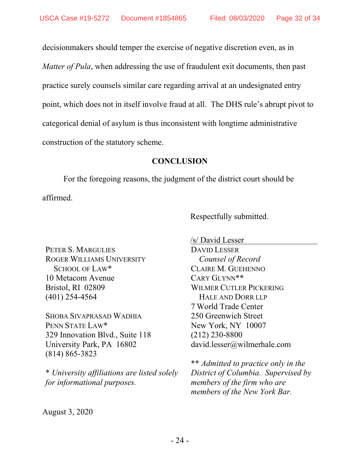decisionmakers should temper the exercise of negative discretion even, as in *Matter of Pula*, when addressing the use of fraudulent exit documents, then past practice surely counsels similar care regarding arrival at an undesignated entry point, which does not in itself involve fraud at all. The DHS rule's abrupt pivot to categorical denial of asylum is thus inconsistent with longtime administrative construction of the statutory scheme.

#### **CONCLUSION**

<span id="page-31-0"></span>For the foregoing reasons, the judgment of the district court should be affirmed.

Respectfully submitted.

PETER S. MARGULIES ROGER WILLIAMS UNIVERSITY SCHOOL OF LAW\* 10 Metacom Avenue Bristol, RI 02809 (401) 254-4564

SHOBA SIVAPRASAD WADHIA PENN STATE LAW\* 329 Innovation Blvd., Suite 118 University Park, PA 16802 (814) 865-3823

\* *University affiliations are listed solely for informational purposes.*

/s/ David Lesser DAVID LESSER *Counsel of Record* CLAIRE M. GUEHENNO CARY GLYNN\*\* WILMER CUTLER PICKERING HALE AND DORR LLP 7 World Trade Center 250 Greenwich Street New York, NY 10007 (212) 230-8800 david.lesser@wilmerhale.com

\*\* *Admitted to practice only in the District of Columbia. Supervised by members of the firm who are members of the New York Bar.*

August 3, 2020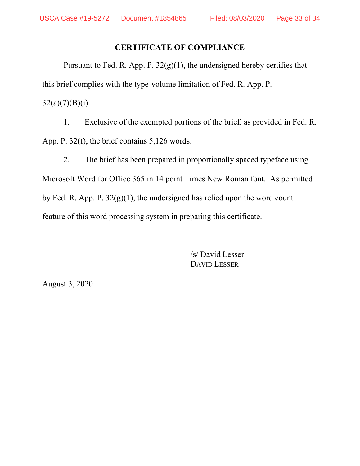#### **CERTIFICATE OF COMPLIANCE**

Pursuant to Fed. R. App. P.  $32(g)(1)$ , the undersigned hereby certifies that this brief complies with the type-volume limitation of Fed. R. App. P.  $32(a)(7)(B)(i)$ .

1. Exclusive of the exempted portions of the brief, as provided in Fed. R. App. P. 32(f), the brief contains 5,126 words.

2. The brief has been prepared in proportionally spaced typeface using Microsoft Word for Office 365 in 14 point Times New Roman font. As permitted by Fed. R. App. P.  $32(g)(1)$ , the undersigned has relied upon the word count feature of this word processing system in preparing this certificate.

> /s/ David Lesser DAVID LESSER

August 3, 2020